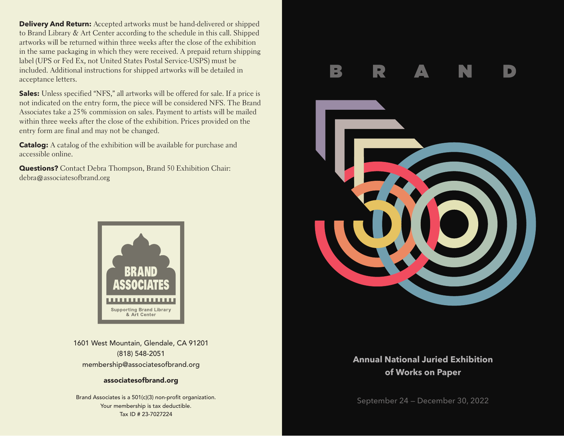**Delivery And Return:** Accepted artworks must be hand-delivered or shipped to Brand Library & Art Center according to the schedule in this call. Shipped artworks will be returned within three weeks after the close of the exhibition in the same packaging in which they were received. A prepaid return shipping label (UPS or Fed Ex, not United States Postal Service-USPS) must be included. Additional instructions for shipped artworks will be detailed in acceptance letters.

**Sales:** Unless specified "NFS," all artworks will be offered for sale. If a price is not indicated on the entry form, the piece will be considered NFS. The Brand Associates take a 25% commission on sales. Payment to artists will be mailed within three weeks after the close of the exhibition. Prices provided on the entry form are final and may not be changed.

**Catalog:** A catalog of the exhibition will be available for purchase and accessible online.

**Questions?** Contact Debra Thompson, Brand 50 Exhibition Chair: debra@associatesofbrand.org



1601 West Mountain, Glendale, CA 91201 (818) 548-2051 membership@associatesofbrand.org

## associatesofbrand.org

Brand Associates is a 501(c)(3) non-profit organization. Your membership is tax deductible. Tax ID # 23-7027224



# **Annual National Juried Exhibition of Works on Paper**

September 24 — December 30, 2022